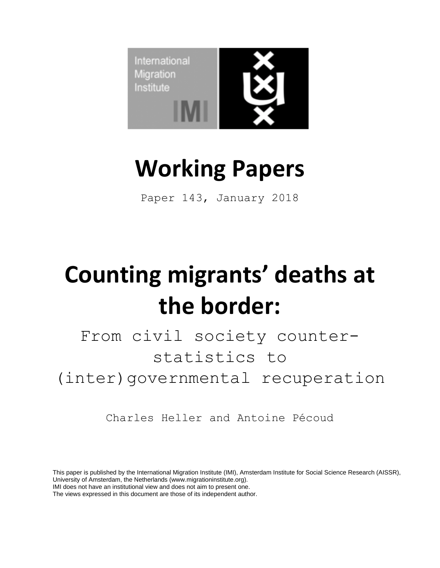

## **Working Papers**

Paper 143, January 2018

# **Counting migrants' deaths at the border:**

From civil society counterstatistics to (inter)governmental recuperation

Charles Heller and Antoine Pécoud

This paper is published by the International Migration Institute (IMI), Amsterdam Institute for Social Science Research (AISSR), University of Amsterdam, the Netherlands (www.migrationinstitute.org).

The views expressed in this document are those of its independent author. IMI<sup>n</sup> does not have an institutional view and does not aim to present one.

IMI does not have an institutional view and does not aim to present one.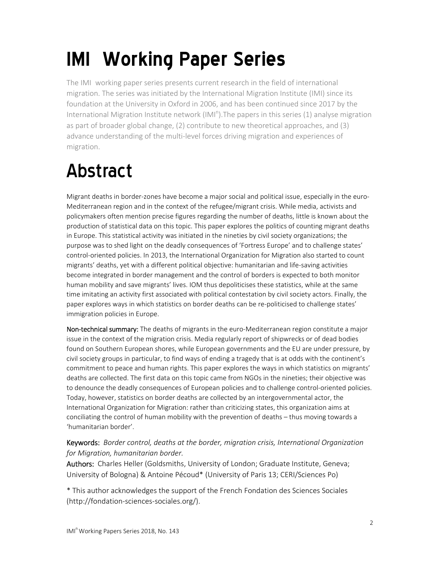## **IMIn Working Paper Series**

The IMI<sup>n</sup> working paper series presents current research in the field of international migration. The series was initiated by the International Migration Institute (IMI) since its foundation at the University in Oxford in 2006, and has been continued since 2017 by the International Migration Institute network (IMI<sup>n</sup>). The papers in this series (1) analyse migration as part of broader global change, (2) contribute to new theoretical approaches, and (3) advance understanding of the multi‐level forces driving migration and experiences of migration.

### Abstract

Migrant deaths in border-zones have become a major social and political issue, especially in the euro-Mediterranean region and in the context of the refugee/migrant crisis. While media, activists and policymakers often mention precise figures regarding the number of deaths, little is known about the production of statistical data on this topic. This paper explores the politics of counting migrant deaths in Europe. This statistical activity was initiated in the nineties by civil society organizations; the purpose was to shed light on the deadly consequences of 'Fortress Europe' and to challenge states' control-oriented policies. In 2013, the International Organization for Migration also started to count migrants' deaths, yet with a different political objective: humanitarian and life‐saving activities become integrated in border management and the control of borders is expected to both monitor human mobility and save migrants' lives. IOM thus depoliticises these statistics, while at the same time imitating an activity first associated with political contestation by civil society actors. Finally, the paper explores ways in which statistics on border deaths can be re-politicised to challenge states' immigration policies in Europe.

Non-technical summary: The deaths of migrants in the euro-Mediterranean region constitute a major issue in the context of the migration crisis. Media regularly report of shipwrecks or of dead bodies found on Southern European shores, while European governments and the EU are under pressure, by civil society groups in particular, to find ways of ending a tragedy that is at odds with the continent's commitment to peace and human rights. This paper explores the ways in which statistics on migrants' deaths are collected. The first data on this topic came from NGOs in the nineties; their objective was to denounce the deadly consequences of European policies and to challenge control‐oriented policies. Today, however, statistics on border deaths are collected by an intergovernmental actor, the International Organization for Migration: rather than criticizing states, this organization aims at conciliating the control of human mobility with the prevention of deaths – thus moving towards a 'humanitarian border'.

#### Keywords: *Border control, deaths at the border, migration crisis, International Organization for Migration, humanitarian border.*

Authors: Charles Heller (Goldsmiths, University of London; Graduate Institute, Geneva; University of Bologna) & Antoine Pécoud\* (University of Paris 13; CERI/Sciences Po)

\* This author acknowledges the support of the French Fondation des Sciences Sociales (http://fondation‐sciences‐sociales.org/).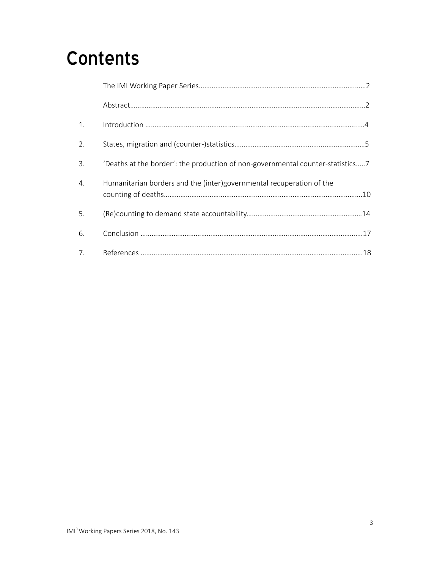### **Contents**

| 1. |                                                                                |
|----|--------------------------------------------------------------------------------|
| 2. |                                                                                |
| 3. | 'Deaths at the border': the production of non-governmental counter-statistics7 |
| 4. | Humanitarian borders and the (inter)governmental recuperation of the           |
| 5. |                                                                                |
| 6. |                                                                                |
|    |                                                                                |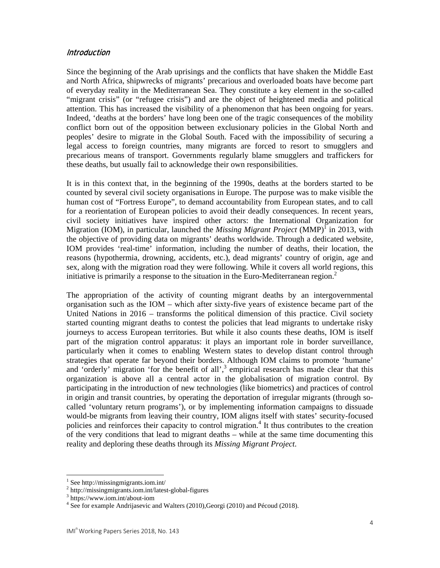#### **Introduction**

Since the beginning of the Arab uprisings and the conflicts that have shaken the Middle East and North Africa, shipwrecks of migrants' precarious and overloaded boats have become part of everyday reality in the Mediterranean Sea. They constitute a key element in the so-called "migrant crisis" (or "refugee crisis") and are the object of heightened media and political attention. This has increased the visibility of a phenomenon that has been ongoing for years. Indeed, 'deaths at the borders' have long been one of the tragic consequences of the mobility conflict born out of the opposition between exclusionary policies in the Global North and peoples' desire to migrate in the Global South. Faced with the impossibility of securing a legal access to foreign countries, many migrants are forced to resort to smugglers and precarious means of transport. Governments regularly blame smugglers and traffickers for these deaths, but usually fail to acknowledge their own responsibilities.

It is in this context that, in the beginning of the 1990s, deaths at the borders started to be counted by several civil society organisations in Europe. The purpose was to make visible the human cost of "Fortress Europe", to demand accountability from European states, and to call for a reorientation of European policies to avoid their deadly consequences. In recent years, civil society initiatives have inspired other actors: the International Organization for Migration (IOM), in particular, launched the *Missing Migrant Project* (MMP)<sup>I</sup> in 2013, with the objective of providing data on migrants' deaths worldwide. Through a dedicated website, IOM provides 'real-time' information, including the number of deaths, their location, the reasons (hypothermia, drowning, accidents, etc.), dead migrants' country of origin, age and sex, along with the migration road they were following. While it covers all world regions, this initiative is primarily a response to the situation in the Euro-Mediterranean region.<sup>2</sup>

The appropriation of the activity of counting migrant deaths by an intergovernmental organisation such as the IOM – which after sixty-five years of existence became part of the United Nations in 2016 – transforms the political dimension of this practice. Civil society started counting migrant deaths to contest the policies that lead migrants to undertake risky journeys to access European territories. But while it also counts these deaths, IOM is itself part of the migration control apparatus: it plays an important role in border surveillance, particularly when it comes to enabling Western states to develop distant control through strategies that operate far beyond their borders. Although IOM claims to promote 'humane' and 'orderly' migration 'for the benefit of all', $3$  empirical research has made clear that this organization is above all a central actor in the globalisation of migration control. By participating in the introduction of new technologies (like biometrics) and practices of control in origin and transit countries, by operating the deportation of irregular migrants (through socalled 'voluntary return programs'), or by implementing information campaigns to dissuade would-be migrants from leaving their country, IOM aligns itself with states' security-focused policies and reinforces their capacity to control migration.<sup>4</sup> It thus contributes to the creation of the very conditions that lead to migrant deaths – while at the same time documenting this reality and deploring these deaths through its *Missing Migrant Project*.

<sup>1</sup> See http://missingmigrants.iom.int/

<sup>2</sup> http://missingmigrants.iom.int/latest-global-figures

<sup>3</sup> https://www.iom.int/about-iom

<sup>&</sup>lt;sup>4</sup> See for example Andrijasevic and Walters (2010), Georgi (2010) and Pécoud (2018).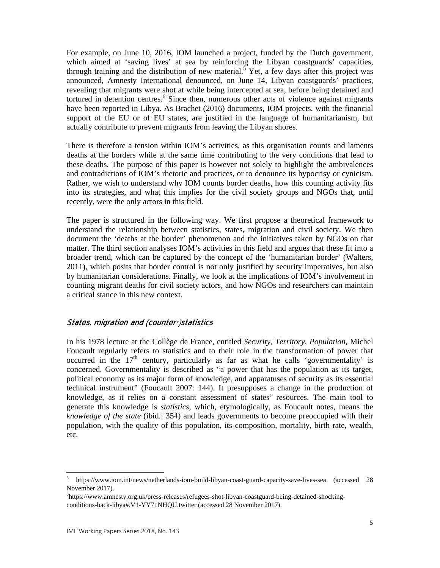For example, on June 10, 2016, IOM launched a project, funded by the Dutch government, which aimed at 'saving lives' at sea by reinforcing the Libyan coastguards' capacities, through training and the distribution of new material.<sup>5</sup> Yet, a few days after this project was announced, Amnesty International denounced, on June 14, Libyan coastguards' practices, revealing that migrants were shot at while being intercepted at sea, before being detained and tortured in detention centres.<sup>6</sup> Since then, numerous other acts of violence against migrants have been reported in Libya. As Brachet (2016) documents, IOM projects, with the financial support of the EU or of EU states, are justified in the language of humanitarianism, but actually contribute to prevent migrants from leaving the Libyan shores.

There is therefore a tension within IOM's activities, as this organisation counts and laments deaths at the borders while at the same time contributing to the very conditions that lead to these deaths. The purpose of this paper is however not solely to highlight the ambivalences and contradictions of IOM's rhetoric and practices, or to denounce its hypocrisy or cynicism. Rather, we wish to understand why IOM counts border deaths, how this counting activity fits into its strategies, and what this implies for the civil society groups and NGOs that, until recently, were the only actors in this field.

The paper is structured in the following way. We first propose a theoretical framework to understand the relationship between statistics, states, migration and civil society. We then document the 'deaths at the border' phenomenon and the initiatives taken by NGOs on that matter. The third section analyses IOM's activities in this field and argues that these fit into a broader trend, which can be captured by the concept of the 'humanitarian border' (Walters, 2011), which posits that border control is not only justified by security imperatives, but also by humanitarian considerations. Finally, we look at the implications of IOM's involvement in counting migrant deaths for civil society actors, and how NGOs and researchers can maintain a critical stance in this new context.

#### States, migration and (counter-)statistics

In his 1978 lecture at the Collège de France, entitled *Security, Territory, Population*, Michel Foucault regularly refers to statistics and to their role in the transformation of power that occurred in the  $17<sup>th</sup>$  century, particularly as far as what he calls 'governmentality' is concerned. Governmentality is described as "a power that has the population as its target, political economy as its major form of knowledge, and apparatuses of security as its essential technical instrument" (Foucault 2007: 144). It presupposes a change in the production of knowledge, as it relies on a constant assessment of states' resources. The main tool to generate this knowledge is *statistics*, which, etymologically, as Foucault notes, means the *knowledge of the state* (ibid.: 354) and leads governments to become preoccupied with their population, with the quality of this population, its composition, mortality, birth rate, wealth, etc.

<sup>&</sup>lt;sup>5</sup> https://www.iom.int/news/netherlands-iom-build-libyan-coast-guard-capacity-save-lives-sea (accessed 28 November 2017).

<sup>6</sup> https://www.amnesty.org.uk/press-releases/refugees-shot-libyan-coastguard-being-detained-shockingconditions-back-libya#.V1-YY71NHQU.twitter (accessed 28 November 2017).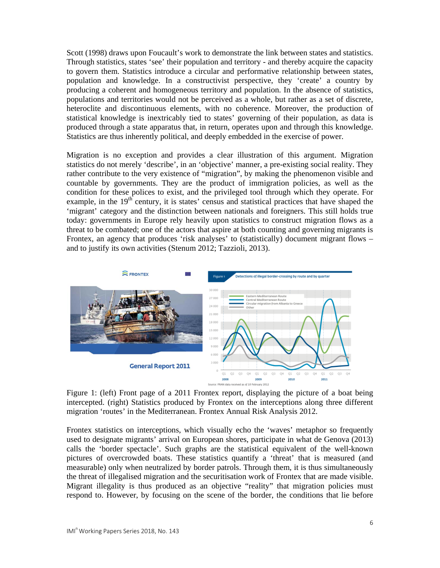Scott (1998) draws upon Foucault's work to demonstrate the link between states and statistics. Through statistics, states 'see' their population and territory - and thereby acquire the capacity to govern them. Statistics introduce a circular and performative relationship between states, population and knowledge. In a constructivist perspective, they 'create' a country by producing a coherent and homogeneous territory and population. In the absence of statistics, populations and territories would not be perceived as a whole, but rather as a set of discrete, heteroclite and discontinuous elements, with no coherence. Moreover, the production of statistical knowledge is inextricably tied to states' governing of their population, as data is produced through a state apparatus that, in return, operates upon and through this knowledge. Statistics are thus inherently political, and deeply embedded in the exercise of power.

Migration is no exception and provides a clear illustration of this argument. Migration statistics do not merely 'describe', in an 'objective' manner, a pre-existing social reality. They rather contribute to the very existence of "migration", by making the phenomenon visible and countable by governments. They are the product of immigration policies, as well as the condition for these polices to exist, and the privileged tool through which they operate. For example, in the  $19<sup>th</sup>$  century, it is states' census and statistical practices that have shaped the 'migrant' category and the distinction between nationals and foreigners. This still holds true today: governments in Europe rely heavily upon statistics to construct migration flows as a threat to be combated; one of the actors that aspire at both counting and governing migrants is Frontex, an agency that produces 'risk analyses' to (statistically) document migrant flows – and to justify its own activities (Stenum 2012; Tazzioli, 2013).



Figure 1: (left) Front page of a 2011 Frontex report, displaying the picture of a boat being intercepted. (right) Statistics produced by Frontex on the interceptions along three different migration 'routes' in the Mediterranean. Frontex Annual Risk Analysis 2012.

Frontex statistics on interceptions, which visually echo the 'waves' metaphor so frequently used to designate migrants' arrival on European shores, participate in what de Genova (2013) calls the 'border spectacle'. Such graphs are the statistical equivalent of the well-known pictures of overcrowded boats. These statistics quantify a 'threat' that is measured (and measurable) only when neutralized by border patrols. Through them, it is thus simultaneously the threat of illegalised migration and the securitisation work of Frontex that are made visible. Migrant illegality is thus produced as an objective "reality" that migration policies must respond to. However, by focusing on the scene of the border, the conditions that lie before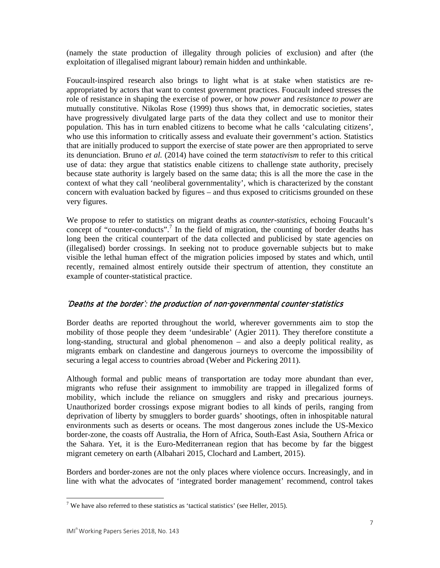(namely the state production of illegality through policies of exclusion) and after (the exploitation of illegalised migrant labour) remain hidden and unthinkable.

Foucault-inspired research also brings to light what is at stake when statistics are reappropriated by actors that want to contest government practices. Foucault indeed stresses the role of resistance in shaping the exercise of power, or how *power* and *resistance to power* are mutually constitutive. Nikolas Rose (1999) thus shows that, in democratic societies, states have progressively divulgated large parts of the data they collect and use to monitor their population. This has in turn enabled citizens to become what he calls 'calculating citizens', who use this information to critically assess and evaluate their government's action. Statistics that are initially produced to support the exercise of state power are then appropriated to serve its denunciation. Bruno *et al.* (2014) have coined the term *statactivism* to refer to this critical use of data: they argue that statistics enable citizens to challenge state authority, precisely because state authority is largely based on the same data; this is all the more the case in the context of what they call 'neoliberal governmentality', which is characterized by the constant concern with evaluation backed by figures – and thus exposed to criticisms grounded on these very figures.

We propose to refer to statistics on migrant deaths as *counter-statistics*, echoing Foucault's concept of "counter-conducts".<sup>7</sup> In the field of migration, the counting of border deaths has long been the critical counterpart of the data collected and publicised by state agencies on (illegalised) border crossings. In seeking not to produce governable subjects but to make visible the lethal human effect of the migration policies imposed by states and which, until recently, remained almost entirely outside their spectrum of attention, they constitute an example of counter-statistical practice.

#### 'Deaths at the border': the production of non-governmental counter-statistics

Border deaths are reported throughout the world, wherever governments aim to stop the mobility of those people they deem 'undesirable' (Agier 2011). They therefore constitute a long-standing, structural and global phenomenon – and also a deeply political reality, as migrants embark on clandestine and dangerous journeys to overcome the impossibility of securing a legal access to countries abroad (Weber and Pickering 2011).

Although formal and public means of transportation are today more abundant than ever, migrants who refuse their assignment to immobility are trapped in illegalized forms of mobility, which include the reliance on smugglers and risky and precarious journeys. Unauthorized border crossings expose migrant bodies to all kinds of perils, ranging from deprivation of liberty by smugglers to border guards' shootings, often in inhospitable natural environments such as deserts or oceans. The most dangerous zones include the US-Mexico border-zone, the coasts off Australia, the Horn of Africa, South-East Asia, Southern Africa or the Sahara. Yet, it is the Euro-Mediterranean region that has become by far the biggest migrant cemetery on earth (Albahari 2015, Clochard and Lambert, 2015).

Borders and border-zones are not the only places where violence occurs. Increasingly, and in line with what the advocates of 'integrated border management' recommend, control takes

<sup>&</sup>lt;sup>7</sup> We have also referred to these statistics as 'tactical statistics' (see Heller, 2015).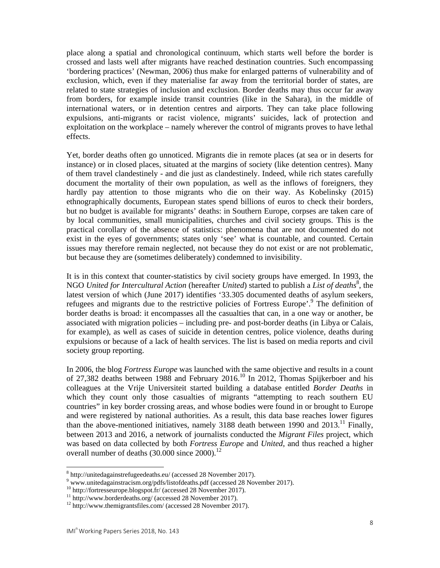place along a spatial and chronological continuum, which starts well before the border is crossed and lasts well after migrants have reached destination countries. Such encompassing 'bordering practices' (Newman, 2006) thus make for enlarged patterns of vulnerability and of exclusion, which, even if they materialise far away from the territorial border of states, are related to state strategies of inclusion and exclusion. Border deaths may thus occur far away from borders, for example inside transit countries (like in the Sahara), in the middle of international waters, or in detention centres and airports. They can take place following expulsions, anti-migrants or racist violence, migrants' suicides, lack of protection and exploitation on the workplace – namely wherever the control of migrants proves to have lethal effects.

Yet, border deaths often go unnoticed. Migrants die in remote places (at sea or in deserts for instance) or in closed places, situated at the margins of society (like detention centres). Many of them travel clandestinely - and die just as clandestinely. Indeed, while rich states carefully document the mortality of their own population, as well as the inflows of foreigners, they hardly pay attention to those migrants who die on their way. As Kobelinsky (2015) ethnographically documents, European states spend billions of euros to check their borders, but no budget is available for migrants' deaths: in Southern Europe, corpses are taken care of by local communities, small municipalities, churches and civil society groups. This is the practical corollary of the absence of statistics: phenomena that are not documented do not exist in the eyes of governments; states only 'see' what is countable, and counted. Certain issues may therefore remain neglected, not because they do not exist or are not problematic, but because they are (sometimes deliberately) condemned to invisibility.

It is in this context that counter-statistics by civil society groups have emerged. In 1993, the NGO *United for Intercultural Action* (hereafter *United*) started to publish a *List of deaths*<sup>8</sup>, the latest version of which (June 2017) identifies '33.305 documented deaths of asylum seekers, refugees and migrants due to the restrictive policies of Fortress Europe'.<sup>9</sup> The definition of border deaths is broad: it encompasses all the casualties that can, in a one way or another, be associated with migration policies – including pre- and post-border deaths (in Libya or Calais, for example), as well as cases of suicide in detention centres, police violence, deaths during expulsions or because of a lack of health services. The list is based on media reports and civil society group reporting.

In 2006, the blog *Fortress Europe* was launched with the same objective and results in a count of 27,382 deaths between 1988 and February 2016.<sup>10</sup> In 2012, Thomas Spijkerboer and his colleagues at the Vrije Universiteit started building a database entitled *Border Deaths* in which they count only those casualties of migrants "attempting to reach southern EU countries" in key border crossing areas, and whose bodies were found in or brought to Europe and were registered by national authorities. As a result, this data base reaches lower figures than the above-mentioned initiatives, namely 3188 death between 1990 and  $2013$ .<sup>11</sup> Finally, between 2013 and 2016, a network of journalists conducted the *Migrant Files* project, which was based on data collected by both *Fortress Europe* and *United*, and thus reached a higher overall number of deaths  $(30.000 \text{ since } 2000)^{12}$ 

 <sup>8</sup> http://unitedagainstrefugeedeaths.eu/ (accessed 28 November 2017).

<sup>&</sup>lt;sup>9</sup> www.unitedagainstracism.org/pdfs/listofdeaths.pdf (accessed 28 November 2017).

<sup>&</sup>lt;sup>10</sup> http://fortresseurope.blogspot.fr/ (accessed 28 November 2017).

<sup>&</sup>lt;sup>11</sup> http://www.borderdeaths.org/ (accessed 28 November 2017).

<sup>&</sup>lt;sup>12</sup> http://www.themigrantsfiles.com/ (accessed 28 November 2017).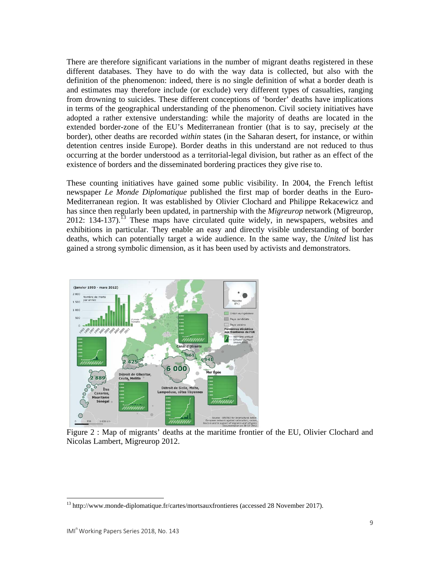There are therefore significant variations in the number of migrant deaths registered in these different databases. They have to do with the way data is collected, but also with the definition of the phenomenon: indeed, there is no single definition of what a border death is and estimates may therefore include (or exclude) very different types of casualties, ranging from drowning to suicides. These different conceptions of 'border' deaths have implications in terms of the geographical understanding of the phenomenon. Civil society initiatives have adopted a rather extensive understanding: while the majority of deaths are located in the extended border-zone of the EU's Mediterranean frontier (that is to say, precisely *at* the border), other deaths are recorded *within* states (in the Saharan desert, for instance, or within detention centres inside Europe). Border deaths in this understand are not reduced to thus occurring at the border understood as a territorial-legal division, but rather as an effect of the existence of borders and the disseminated bordering practices they give rise to.

These counting initiatives have gained some public visibility. In 2004, the French leftist newspaper *Le Monde Diplomatique* published the first map of border deaths in the Euro-Mediterranean region. It was established by Olivier Clochard and Philippe Rekacewicz and has since then regularly been updated, in partnership with the *Migreurop* network (Migreurop, 2012: 134-137).13 These maps have circulated quite widely, in newspapers, websites and exhibitions in particular. They enable an easy and directly visible understanding of border deaths, which can potentially target a wide audience. In the same way, the *United* list has gained a strong symbolic dimension, as it has been used by activists and demonstrators.



Figure 2 : Map of migrants' deaths at the maritime frontier of the EU, Olivier Clochard and Nicolas Lambert, Migreurop 2012.

<sup>&</sup>lt;sup>13</sup> http://www.monde-diplomatique.fr/cartes/mortsauxfrontieres (accessed 28 November 2017).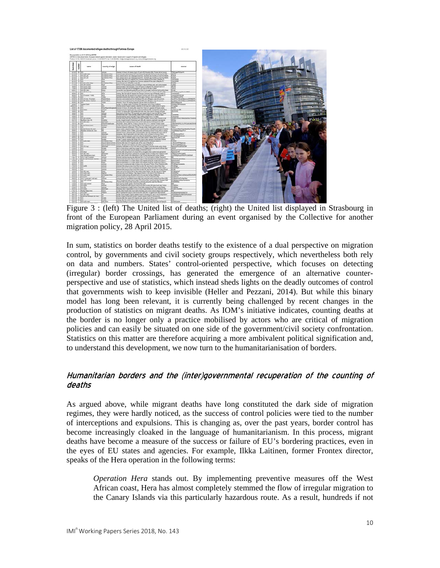

 Figure 3 : (left) The United list of deaths; (right) the United list displayed in Strasbourg in front of the European Parliament during an event organised by the Collective for another migration policy, 28 April 2015.

In sum, statistics on border deaths testify to the existence of a dual perspective on migration control, by governments and civil society groups respectively, which nevertheless both rely on data and numbers. States' control-oriented perspective, which focuses on detecting (irregular) border crossings, has generated the emergence of an alternative counterperspective and use of statistics, which instead sheds lights on the deadly outcomes of control that governments wish to keep invisible (Heller and Pezzani, 2014). But while this binary model has long been relevant, it is currently being challenged by recent changes in the production of statistics on migrant deaths. As IOM's initiative indicates, counting deaths at the border is no longer only a practice mobilised by actors who are critical of migration policies and can easily be situated on one side of the government/civil society confrontation. Statistics on this matter are therefore acquiring a more ambivalent political signification and, to understand this development, we now turn to the humanitarianisation of borders.

#### Humanitarian borders and the (inter)governmental recuperation of the counting of deaths

As argued above, while migrant deaths have long constituted the dark side of migration regimes, they were hardly noticed, as the success of control policies were tied to the number of interceptions and expulsions. This is changing as, over the past years, border control has become increasingly cloaked in the language of humanitarianism. In this process, migrant deaths have become a measure of the success or failure of EU's bordering practices, even in the eyes of EU states and agencies. For example, Ilkka Laitinen, former Frontex director, speaks of the Hera operation in the following terms:

*Operation Hera* stands out. By implementing preventive measures off the West African coast, Hera has almost completely stemmed the flow of irregular migration to the Canary Islands via this particularly hazardous route. As a result, hundreds if not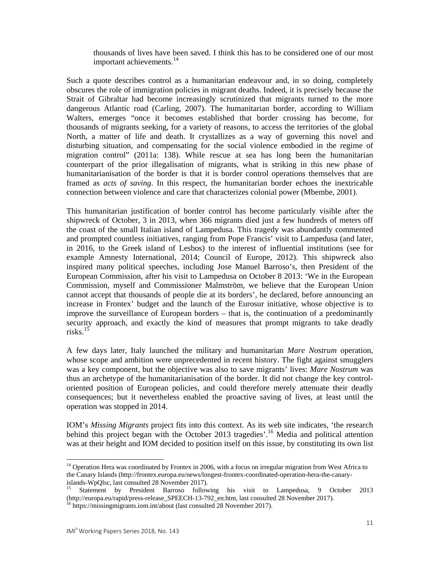thousands of lives have been saved. I think this has to be considered one of our most important achievements.<sup>14</sup>

Such a quote describes control as a humanitarian endeavour and, in so doing, completely obscures the role of immigration policies in migrant deaths. Indeed, it is precisely because the Strait of Gibraltar had become increasingly scrutinized that migrants turned to the more dangerous Atlantic road (Carling, 2007). The humanitarian border, according to William Walters, emerges "once it becomes established that border crossing has become, for thousands of migrants seeking, for a variety of reasons, to access the territories of the global North, a matter of life and death. It crystallizes as a way of governing this novel and disturbing situation, and compensating for the social violence embodied in the regime of migration control" (2011a: 138). While rescue at sea has long been the humanitarian counterpart of the prior illegalisation of migrants, what is striking in this new phase of humanitarianisation of the border is that it is border control operations themselves that are framed as *acts of saving*. In this respect, the humanitarian border echoes the inextricable connection between violence and care that characterizes colonial power (Mbembe, 2001).

This humanitarian justification of border control has become particularly visible after the shipwreck of October, 3 in 2013, when 366 migrants died just a few hundreds of meters off the coast of the small Italian island of Lampedusa. This tragedy was abundantly commented and prompted countless initiatives, ranging from Pope Francis' visit to Lampedusa (and later, in 2016, to the Greek island of Lesbos) to the interest of influential institutions (see for example Amnesty International, 2014; Council of Europe, 2012). This shipwreck also inspired many political speeches, including Jose Manuel Barroso's, then President of the European Commission, after his visit to Lampedusa on October 8 2013: 'We in the European Commission, myself and Commissioner Malmström, we believe that the European Union cannot accept that thousands of people die at its borders', he declared, before announcing an increase in Frontex' budget and the launch of the Eurosur initiative, whose objective is to improve the surveillance of European borders – that is, the continuation of a predominantly security approach, and exactly the kind of measures that prompt migrants to take deadly risks. $15$ 

A few days later, Italy launched the military and humanitarian *Mare Nostrum* operation, whose scope and ambition were unprecedented in recent history. The fight against smugglers was a key component, but the objective was also to save migrants' lives: *Mare Nostrum* was thus an archetype of the humanitarianisation of the border. It did not change the key controloriented position of European policies, and could therefore merely attenuate their deadly consequences; but it nevertheless enabled the proactive saving of lives, at least until the operation was stopped in 2014.

IOM's *Missing Migrants* project fits into this context. As its web site indicates, 'the research behind this project began with the October 2013 tragedies'.<sup>16</sup> Media and political attention was at their height and IOM decided to position itself on this issue, by constituting its own list

<sup>&</sup>lt;sup>14</sup> Operation Hera was coordinated by Frontex in 2006, with a focus on irregular migration from West Africa to the Canary Islands (http://frontex.europa.eu/news/longest-frontex-coordinated-operation-hera-the-canaryislands-WpQlsc, last consulted 28 November 2017).

<sup>15</sup> Statement by President Barroso following his visit to Lampedusa, 9 October 2013 (http://europa.eu/rapid/press-release\_SPEECH-13-792\_en.htm, last consulted 28 November 2017).

<sup>&</sup>lt;sup>16</sup> https://missingmigrants.iom.int/about (last consulted 28 November 2017).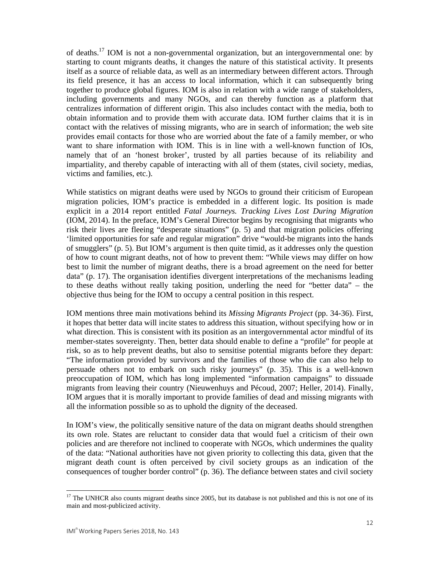of deaths.17 IOM is not a non-governmental organization, but an intergovernmental one: by starting to count migrants deaths, it changes the nature of this statistical activity. It presents itself as a source of reliable data, as well as an intermediary between different actors. Through its field presence, it has an access to local information, which it can subsequently bring together to produce global figures. IOM is also in relation with a wide range of stakeholders, including governments and many NGOs, and can thereby function as a platform that centralizes information of different origin. This also includes contact with the media, both to obtain information and to provide them with accurate data. IOM further claims that it is in contact with the relatives of missing migrants, who are in search of information; the web site provides email contacts for those who are worried about the fate of a family member, or who want to share information with IOM. This is in line with a well-known function of IOs, namely that of an 'honest broker', trusted by all parties because of its reliability and impartiality, and thereby capable of interacting with all of them (states, civil society, medias, victims and families, etc.).

While statistics on migrant deaths were used by NGOs to ground their criticism of European migration policies, IOM's practice is embedded in a different logic. Its position is made explicit in a 2014 report entitled *Fatal Journeys. Tracking Lives Lost During Migration* (IOM, 2014). In the preface, IOM's General Director begins by recognising that migrants who risk their lives are fleeing "desperate situations" (p. 5) and that migration policies offering 'limited opportunities for safe and regular migration" drive "would-be migrants into the hands of smugglers" (p. 5). But IOM's argument is then quite timid, as it addresses only the question of how to count migrant deaths, not of how to prevent them: "While views may differ on how best to limit the number of migrant deaths, there is a broad agreement on the need for better data" (p. 17). The organisation identifies divergent interpretations of the mechanisms leading to these deaths without really taking position, underling the need for "better data" – the objective thus being for the IOM to occupy a central position in this respect.

IOM mentions three main motivations behind its *Missing Migrants Project* (pp. 34-36). First, it hopes that better data will incite states to address this situation, without specifying how or in what direction. This is consistent with its position as an intergovernmental actor mindful of its member-states sovereignty. Then, better data should enable to define a "profile" for people at risk, so as to help prevent deaths, but also to sensitise potential migrants before they depart: "The information provided by survivors and the families of those who die can also help to persuade others not to embark on such risky journeys" (p. 35). This is a well-known preoccupation of IOM, which has long implemented "information campaigns" to dissuade migrants from leaving their country (Nieuwenhuys and Pécoud, 2007; Heller, 2014). Finally, IOM argues that it is morally important to provide families of dead and missing migrants with all the information possible so as to uphold the dignity of the deceased.

In IOM's view, the politically sensitive nature of the data on migrant deaths should strengthen its own role. States are reluctant to consider data that would fuel a criticism of their own policies and are therefore not inclined to cooperate with NGOs, which undermines the quality of the data: "National authorities have not given priority to collecting this data, given that the migrant death count is often perceived by civil society groups as an indication of the consequences of tougher border control" (p. 36). The defiance between states and civil society

<sup>&</sup>lt;sup>17</sup> The UNHCR also counts migrant deaths since 2005, but its database is not published and this is not one of its main and most-publicized activity.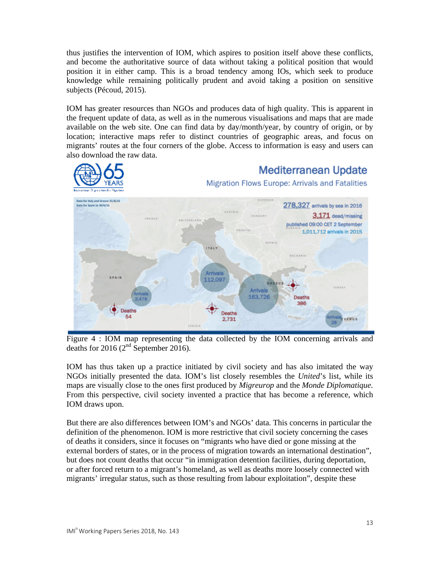thus justifies the intervention of IOM, which aspires to position itself above these conflicts, and become the authoritative source of data without taking a political position that would position it in either camp. This is a broad tendency among IOs, which seek to produce knowledge while remaining politically prudent and avoid taking a position on sensitive subjects (Pécoud, 2015).

IOM has greater resources than NGOs and produces data of high quality. This is apparent in the frequent update of data, as well as in the numerous visualisations and maps that are made available on the web site. One can find data by day/month/year, by country of origin, or by location; interactive maps refer to distinct countries of geographic areas, and focus on migrants' routes at the four corners of the globe. Access to information is easy and users can also download the raw data.



#### **Mediterranean Update**

#### Migration Flows Europe: Arrivals and Fatalities



Figure 4 : IOM map representing the data collected by the IOM concerning arrivals and deaths for 2016 (2<sup>nd</sup> September 2016).

IOM has thus taken up a practice initiated by civil society and has also imitated the way NGOs initially presented the data. IOM's list closely resembles the *United*'s list, while its maps are visually close to the ones first produced by *Migreurop* and the *Monde Diplomatique.*  From this perspective, civil society invented a practice that has become a reference, which IOM draws upon.

But there are also differences between IOM's and NGOs' data. This concerns in particular the definition of the phenomenon. IOM is more restrictive that civil society concerning the cases of deaths it considers, since it focuses on "migrants who have died or gone missing at the external borders of states, or in the process of migration towards an international destination", but does not count deaths that occur "in immigration detention facilities, during deportation, or after forced return to a migrant's homeland, as well as deaths more loosely connected with migrants' irregular status, such as those resulting from labour exploitation", despite these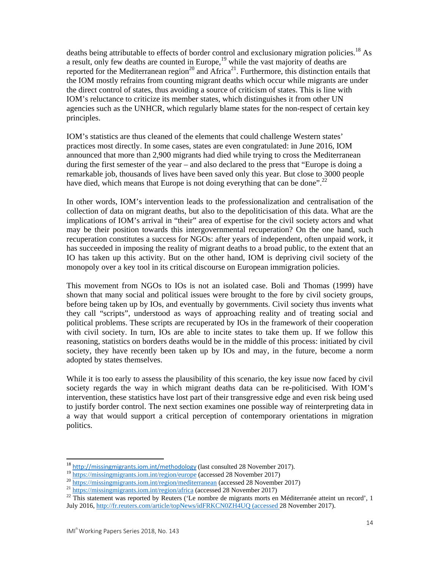deaths being attributable to effects of border control and exclusionary migration policies.<sup>18</sup> As a result, only few deaths are counted in Europe,<sup>19</sup> while the vast majority of deaths are reported for the Mediterranean region<sup>20</sup> and Africa<sup>21</sup>. Furthermore, this distinction entails that the IOM mostly refrains from counting migrant deaths which occur while migrants are under the direct control of states, thus avoiding a source of criticism of states. This is line with IOM's reluctance to criticize its member states, which distinguishes it from other UN agencies such as the UNHCR, which regularly blame states for the non-respect of certain key principles.

IOM's statistics are thus cleaned of the elements that could challenge Western states' practices most directly. In some cases, states are even congratulated: in June 2016, IOM announced that more than 2,900 migrants had died while trying to cross the Mediterranean during the first semester of the year – and also declared to the press that "Europe is doing a remarkable job, thousands of lives have been saved only this year. But close to 3000 people have died, which means that Europe is not doing everything that can be done".<sup>22</sup>

In other words, IOM's intervention leads to the professionalization and centralisation of the collection of data on migrant deaths, but also to the depoliticisation of this data. What are the implications of IOM's arrival in "their" area of expertise for the civil society actors and what may be their position towards this intergovernmental recuperation? On the one hand, such recuperation constitutes a success for NGOs: after years of independent, often unpaid work, it has succeeded in imposing the reality of migrant deaths to a broad public, to the extent that an IO has taken up this activity. But on the other hand, IOM is depriving civil society of the monopoly over a key tool in its critical discourse on European immigration policies.

This movement from NGOs to IOs is not an isolated case. Boli and Thomas (1999) have shown that many social and political issues were brought to the fore by civil society groups, before being taken up by IOs, and eventually by governments. Civil society thus invents what they call "scripts", understood as ways of approaching reality and of treating social and political problems. These scripts are recuperated by IOs in the framework of their cooperation with civil society. In turn, IOs are able to incite states to take them up. If we follow this reasoning, statistics on borders deaths would be in the middle of this process: initiated by civil society, they have recently been taken up by IOs and may, in the future, become a norm adopted by states themselves.

While it is too early to assess the plausibility of this scenario, the key issue now faced by civil society regards the way in which migrant deaths data can be re-politicised. With IOM's intervention, these statistics have lost part of their transgressive edge and even risk being used to justify border control. The next section examines one possible way of reinterpreting data in a way that would support a critical perception of contemporary orientations in migration politics.

<sup>&</sup>lt;sup>18</sup> http://missingmigrants.iom.int/methodology (last consulted 28 November 2017).

 $\frac{19 \frac{\text{https://missing.migrants.iom.int/region/europe}}{\text{https://missing.migrants.iom.int/region/europe}} (\text{accessed 28 November 2017})}{\frac{19 \frac{\text{https://missing.migrants.iom.int/region/europe}}{\text{https://missing.migrants.iom.int/region/こ}} (\text{accessed 28 November 2017})}{\frac{19 \frac{\text{https://missing.migrants.iom.int/region/ancidterranean}}{\text{https://missing.migrants.iom.int/region/affica}} (\text{accessed 28 November 2017})}{\frac{19 \frac{\text{https://missing.migrants.iom.int/region/affica}}{\text{https://missing.migrants.iom.int/region/affica}} (\$ July 2016, http://fr.reuters.com/article/topNews/idFRKCN0ZH4UQ (accessed 28 November 2017).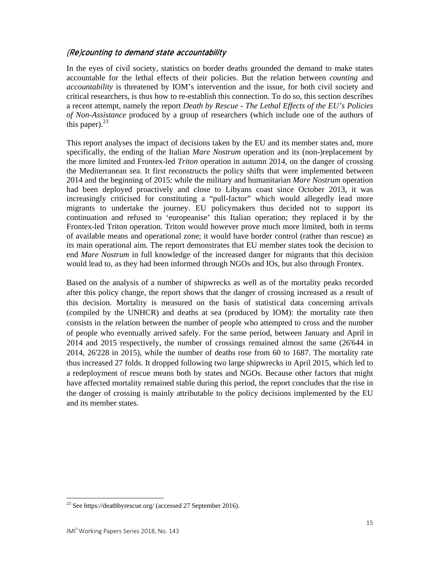#### (Re)counting to demand state accountability

In the eyes of civil society, statistics on border deaths grounded the demand to make states accountable for the lethal effects of their policies. But the relation between *counting* and *accountability* is threatened by IOM's intervention and the issue, for both civil society and critical researchers, is thus how to re-establish this connection. To do so, this section describes a recent attempt, namely the report *Death by Rescue - The Lethal Effects of the EU's Policies of Non-Assistance* produced by a group of researchers (which include one of the authors of this paper). $^{23}$ 

This report analyses the impact of decisions taken by the EU and its member states and, more specifically, the ending of the Italian *Mare Nostrum* operation and its (non-)replacement by the more limited and Frontex-led *Triton* operation in autumn 2014, on the danger of crossing the Mediterranean sea. It first reconstructs the policy shifts that were implemented between 2014 and the beginning of 2015: while the military and humanitarian *Mare Nostrum* operation had been deployed proactively and close to Libyans coast since October 2013, it was increasingly criticised for constituting a "pull-factor" which would allegedly lead more migrants to undertake the journey. EU policymakers thus decided not to support its continuation and refused to 'europeanise' this Italian operation; they replaced it by the Frontex-led Triton operation. Triton would however prove much more limited, both in terms of available means and operational zone; it would have border control (rather than rescue) as its main operational aim. The report demonstrates that EU member states took the decision to end *Mare Nostrum* in full knowledge of the increased danger for migrants that this decision would lead to, as they had been informed through NGOs and IOs, but also through Frontex.

Based on the analysis of a number of shipwrecks as well as of the mortality peaks recorded after this policy change, the report shows that the danger of crossing increased as a result of this decision. Mortality is measured on the basis of statistical data concerning arrivals (compiled by the UNHCR) and deaths at sea (produced by IOM): the mortality rate then consists in the relation between the number of people who attempted to cross and the number of people who eventually arrived safely. For the same period, between January and April in 2014 and 2015 respectively, the number of crossings remained almost the same (26'644 in 2014, 26'228 in 2015), while the number of deaths rose from 60 to 1687. The mortality rate thus increased 27 folds. It dropped following two large shipwrecks in April 2015, which led to a redeployment of rescue means both by states and NGOs. Because other factors that might have affected mortality remained stable during this period, the report concludes that the rise in the danger of crossing is mainly attributable to the policy decisions implemented by the EU and its member states.

 $^{23}$  See https://deathbyrescue.org/ (accessed 27 September 2016).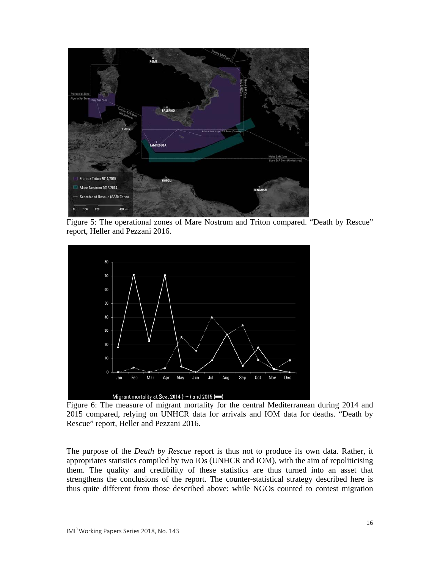

Figure 5: The operational zones of Mare Nostrum and Triton compared. "Death by Rescue" report, Heller and Pezzani 2016.



Figure 6: The measure of migrant mortality for the central Mediterranean during 2014 and 2015 compared, relying on UNHCR data for arrivals and IOM data for deaths. "Death by Rescue" report, Heller and Pezzani 2016.

The purpose of the *Death by Rescue* report is thus not to produce its own data. Rather, it appropriates statistics compiled by two IOs (UNHCR and IOM), with the aim of repoliticising them. The quality and credibility of these statistics are thus turned into an asset that strengthens the conclusions of the report. The counter-statistical strategy described here is thus quite different from those described above: while NGOs counted to contest migration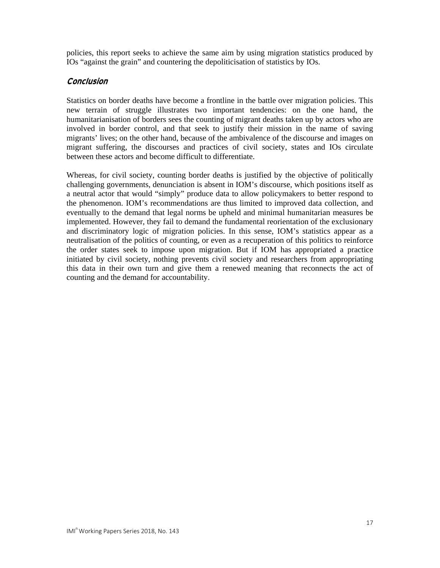policies, this report seeks to achieve the same aim by using migration statistics produced by IOs "against the grain" and countering the depoliticisation of statistics by IOs.

#### **Conclusion**

Statistics on border deaths have become a frontline in the battle over migration policies. This new terrain of struggle illustrates two important tendencies: on the one hand, the humanitarianisation of borders sees the counting of migrant deaths taken up by actors who are involved in border control, and that seek to justify their mission in the name of saving migrants' lives; on the other hand, because of the ambivalence of the discourse and images on migrant suffering, the discourses and practices of civil society, states and IOs circulate between these actors and become difficult to differentiate.

Whereas, for civil society, counting border deaths is justified by the objective of politically challenging governments, denunciation is absent in IOM's discourse, which positions itself as a neutral actor that would "simply" produce data to allow policymakers to better respond to the phenomenon. IOM's recommendations are thus limited to improved data collection, and eventually to the demand that legal norms be upheld and minimal humanitarian measures be implemented. However, they fail to demand the fundamental reorientation of the exclusionary and discriminatory logic of migration policies. In this sense, IOM's statistics appear as a neutralisation of the politics of counting, or even as a recuperation of this politics to reinforce the order states seek to impose upon migration. But if IOM has appropriated a practice initiated by civil society, nothing prevents civil society and researchers from appropriating this data in their own turn and give them a renewed meaning that reconnects the act of counting and the demand for accountability.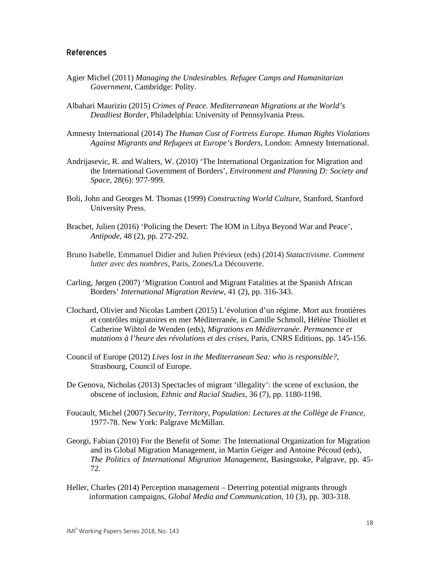#### References

- Agier Michel (2011) *Managing the Undesirables. Refugee Camps and Humanitarian Government*, Cambridge: Polity.
- Albahari Maurizio (2015) *Crimes of Peace. Mediterranean Migrations at the World's Deadliest Border*, Philadelphia: University of Pennsylvania Press.
- Amnesty International (2014) *The Human Cost of Fortress Europe. Human Rights Violations Against Migrants and Refugees at Europe's Borders*, London: Amnesty International.
- Andrijasevic, R. and Walters, W. (2010) 'The International Organization for Migration and the International Government of Borders', *Environment and Planning D: Society and Space*, 28(6): 977-999.
- Boli, John and Georges M. Thomas (1999) *Constructing World Culture*, Stanford, Stanford University Press.
- Brachet, Julien (2016) 'Policing the Desert: The IOM in Libya Beyond War and Peace', *Antipode*, 48 (2), pp. 272-292.
- Bruno Isabelle, Emmanuel Didier and Julien Prévieux (eds) (2014) *Statactivisme. Comment lutter avec des nombres*, Paris, Zones/La Découverte.
- Carling, Jørgen (2007) 'Migration Control and Migrant Fatalities at the Spanish African Borders' *International Migration Review*, 41 (2), pp. 316-343.
- Clochard, Olivier and Nicolas Lambert (2015) L'évolution d'un régime. Mort aux frontières et contrôles migratoires en mer Méditerranée, in Camille Schmoll, Hélène Thiollet et Catherine Wihtol de Wenden (eds), *Migrations en Méditerranée. Permanence et mutations à l'heure des révolutions et des crises*, Paris, CNRS Editions, pp. 145-156.
- Council of Europe (2012) *Lives lost in the Mediterranean Sea: who is responsible?*, Strasbourg, Council of Europe.
- De Genova, Nicholas (2013) Spectacles of migrant 'illegality': the scene of exclusion, the obscene of inclusion, *Ethnic and Racial Studies*, 36 (7), pp. 1180-1198.
- Foucault, Michel (2007) *Security, Territory, Population: Lectures at the Collège de France*, 1977-78. New York: Palgrave McMillan.
- Georgi, Fabian (2010) For the Benefit of Some: The International Organization for Migration and its Global Migration Management, in Martin Geiger and Antoine Pécoud (eds), *The Politics of International Migration Management*, Basingstoke, Palgrave, pp. 45- 72.
- Heller, Charles (2014) Perception management Deterring potential migrants through information campaigns, *Global Media and Communication*, 10 (3), pp. 303-318.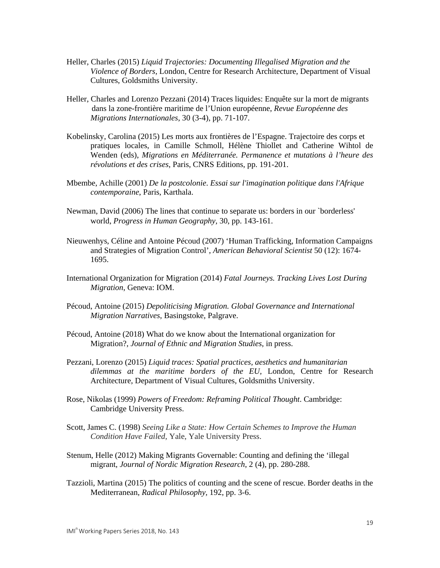- Heller, Charles (2015) *Liquid Trajectories: Documenting Illegalised Migration and the Violence of Borders*, London, Centre for Research Architecture, Department of Visual Cultures, Goldsmiths University.
- Heller, Charles and Lorenzo Pezzani (2014) Traces liquides: Enquête sur la mort de migrants dans la zone-frontière maritime de l'Union européenne, *Revue Européenne des Migrations Internationales*, 30 (3-4), pp. 71-107.
- Kobelinsky, Carolina (2015) Les morts aux frontières de l'Espagne. Trajectoire des corps et pratiques locales, in Camille Schmoll, Hélène Thiollet and Catherine Wihtol de Wenden (eds), *Migrations en Méditerranée. Permanence et mutations à l'heure des révolutions et des crises*, Paris, CNRS Editions, pp. 191-201.
- Mbembe, Achille (2001) *De la postcolonie*. *Essai sur l'imagination politique dans l'Afrique contemporaine*, Paris, Karthala.
- Newman, David (2006) The lines that continue to separate us: borders in our `borderless' world, *Progress in Human Geography,* 30, pp. 143-161.
- Nieuwenhys, Céline and Antoine Pécoud (2007) 'Human Trafficking, Information Campaigns and Strategies of Migration Control', *American Behavioral Scientist* 50 (12): 1674- 1695.
- International Organization for Migration (2014) *Fatal Journeys. Tracking Lives Lost During Migration*, Geneva: IOM.
- Pécoud, Antoine (2015) *Depoliticising Migration. Global Governance and International Migration Narratives*, Basingstoke, Palgrave.
- Pécoud, Antoine (2018) What do we know about the International organization for Migration?, *Journal of Ethnic and Migration Studies*, in press.
- Pezzani, Lorenzo (2015) *Liquid traces: Spatial practices, aesthetics and humanitarian dilemmas at the maritime borders of the EU,* London, Centre for Research Architecture, Department of Visual Cultures, Goldsmiths University.
- Rose, Nikolas (1999) *Powers of Freedom: Reframing Political Thought*. Cambridge: Cambridge University Press.
- Scott, James C. (1998) *Seeing Like a State: How Certain Schemes to Improve the Human Condition Have Failed*, Yale, Yale University Press.
- Stenum, Helle (2012) Making Migrants Governable: Counting and defining the 'illegal migrant, *Journal of Nordic Migration Research*, 2 (4), pp. 280-288.
- Tazzioli, Martina (2015) The politics of counting and the scene of rescue. Border deaths in the Mediterranean, *Radical Philosophy,* 192, pp. 3-6.